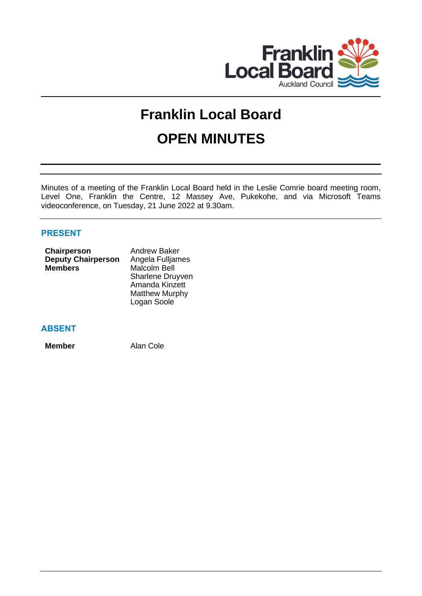

# **Franklin Local Board OPEN MINUTES**

Minutes of a meeting of the Franklin Local Board held in the Leslie Comrie board meeting room, Level One, Franklin the Centre, 12 Massey Ave, Pukekohe, and via Microsoft Teams videoconference, on Tuesday, 21 June 2022 at 9.30am.

# **PRESENT**

| Chairperson               | <b>Andrew Baker</b>   |
|---------------------------|-----------------------|
| <b>Deputy Chairperson</b> | Angela Fulljames      |
| <b>Members</b>            | <b>Malcolm Bell</b>   |
|                           | Sharlene Druyven      |
|                           | Amanda Kinzett        |
|                           | <b>Matthew Murphy</b> |
|                           | Logan Soole           |
|                           |                       |

# **ABSENT**

**Member** Alan Cole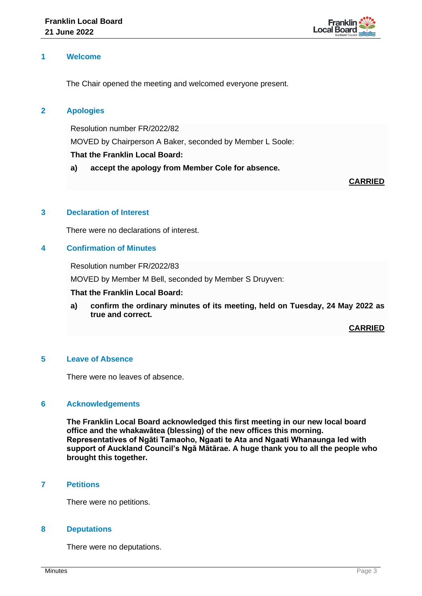

## **1 Welcome**

The Chair opened the meeting and welcomed everyone present.

## **2 Apologies**

Resolution number FR/2022/82 MOVED by Chairperson A Baker, seconded by Member L Soole: **That the Franklin Local Board:**

**a) accept the apology from Member Cole for absence.**

### **CARRIED**

## **3 Declaration of Interest**

There were no declarations of interest.

# **4 Confirmation of Minutes**

Resolution number FR/2022/83

MOVED by Member M Bell, seconded by Member S Druyven:

#### **That the Franklin Local Board:**

**a) confirm the ordinary minutes of its meeting, held on Tuesday, 24 May 2022 as true and correct.**

**CARRIED**

## **5 Leave of Absence**

There were no leaves of absence.

#### **6 Acknowledgements**

**The Franklin Local Board acknowledged this first meeting in our new local board office and the whakawātea (blessing) of the new offices this morning. Representatives of Ngāti Tamaoho, Ngaati te Ata and Ngaati Whanaunga led with support of Auckland Council's Ngā Mātārae. A huge thank you to all the people who brought this together.**

# **7 Petitions**

There were no petitions.

#### **8 Deputations**

There were no deputations.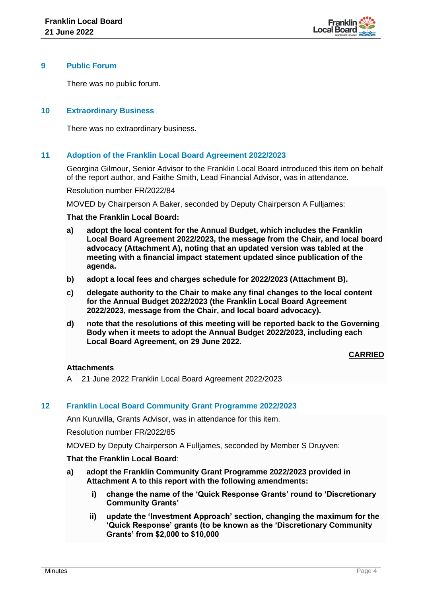

### **9 Public Forum**

There was no public forum.

## **10 Extraordinary Business**

There was no extraordinary business.

## **11 Adoption of the Franklin Local Board Agreement 2022/2023**

Georgina Gilmour, Senior Advisor to the Franklin Local Board introduced this item on behalf of the report author, and Faithe Smith, Lead Financial Advisor, was in attendance.

Resolution number FR/2022/84

MOVED by Chairperson A Baker, seconded by Deputy Chairperson A Fulljames:

#### **That the Franklin Local Board:**

- **a) adopt the local content for the Annual Budget, which includes the Franklin Local Board Agreement 2022/2023, the message from the Chair, and local board advocacy (Attachment A), noting that an updated version was tabled at the meeting with a financial impact statement updated since publication of the agenda.**
- **b) adopt a local fees and charges schedule for 2022/2023 (Attachment B).**
- **c) delegate authority to the Chair to make any final changes to the local content for the Annual Budget 2022/2023 (the Franklin Local Board Agreement 2022/2023, message from the Chair, and local board advocacy).**
- **d) note that the resolutions of this meeting will be reported back to the Governing Body when it meets to adopt the Annual Budget 2022/2023, including each Local Board Agreement, on 29 June 2022.**

## **CARRIED**

#### **Attachments**

A 21 June 2022 Franklin Local Board Agreement 2022/2023

## **12 Franklin Local Board Community Grant Programme 2022/2023**

Ann Kuruvilla, Grants Advisor, was in attendance for this item.

Resolution number FR/2022/85

MOVED by Deputy Chairperson A Fulljames, seconded by Member S Druyven:

#### **That the Franklin Local Board**:

- **a) adopt the Franklin Community Grant Programme 2022/2023 provided in Attachment A to this report with the following amendments:**
	- **i) change the name of the 'Quick Response Grants' round to 'Discretionary Community Grants'**
	- **ii) update the 'Investment Approach' section, changing the maximum for the 'Quick Response' grants (to be known as the 'Discretionary Community Grants' from \$2,000 to \$10,000**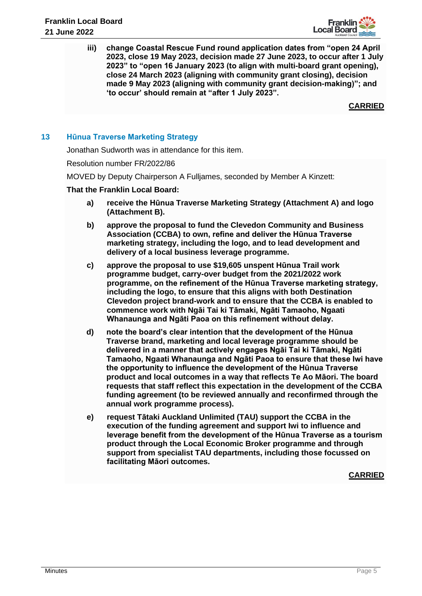

**iii) change Coastal Rescue Fund round application dates from "open 24 April 2023, close 19 May 2023, decision made 27 June 2023, to occur after 1 July 2023" to "open 16 January 2023 (to align with multi-board grant opening), close 24 March 2023 (aligning with community grant closing), decision made 9 May 2023 (aligning with community grant decision-making)"; and 'to occur' should remain at "after 1 July 2023".**

**CARRIED**

## **13 Hūnua Traverse Marketing Strategy**

Jonathan Sudworth was in attendance for this item.

Resolution number FR/2022/86

MOVED by Deputy Chairperson A Fulljames, seconded by Member A Kinzett:

### **That the Franklin Local Board:**

- **a) receive the Hūnua Traverse Marketing Strategy (Attachment A) and logo (Attachment B).**
- **b) approve the proposal to fund the Clevedon Community and Business Association (CCBA) to own, refine and deliver the Hūnua Traverse marketing strategy, including the logo, and to lead development and delivery of a local business leverage programme.**
- **c) approve the proposal to use \$19,605 unspent Hūnua Trail work programme budget, carry-over budget from the 2021/2022 work programme, on the refinement of the Hūnua Traverse marketing strategy, including the logo, to ensure that this aligns with both Destination Clevedon project brand-work and to ensure that the CCBA is enabled to commence work with Ngāi Tai ki Tāmaki, Ngāti Tamaoho, Ngaati Whanaunga and Ngāti Paoa on this refinement without delay.**
- **d) note the board's clear intention that the development of the Hūnua Traverse brand, marketing and local leverage programme should be delivered in a manner that actively engages Ngāi Tai ki Tāmaki, Ngāti Tamaoho, Ngaati Whanaunga and Ngāti Paoa to ensure that these Iwi have the opportunity to influence the development of the Hūnua Traverse product and local outcomes in a way that reflects Te Ao Māori. The board requests that staff reflect this expectation in the development of the CCBA funding agreement (to be reviewed annually and reconfirmed through the annual work programme process).**
- **e) request Tātaki Auckland Unlimited (TAU) support the CCBA in the execution of the funding agreement and support Iwi to influence and leverage benefit from the development of the Hūnua Traverse as a tourism product through the Local Economic Broker programme and through support from specialist TAU departments, including those focussed on facilitating Māori outcomes.**

**CARRIED**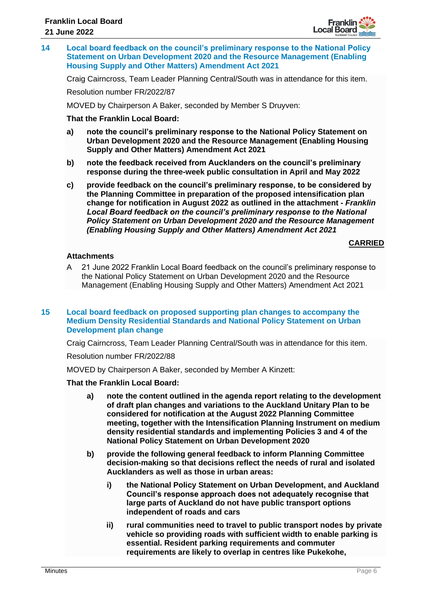

**14 Local board feedback on the council's preliminary response to the National Policy Statement on Urban Development 2020 and the Resource Management (Enabling Housing Supply and Other Matters) Amendment Act 2021**

Craig Cairncross, Team Leader Planning Central/South was in attendance for this item.

Resolution number FR/2022/87

MOVED by Chairperson A Baker, seconded by Member S Druyven:

#### **That the Franklin Local Board:**

- **a) note the council's preliminary response to the National Policy Statement on Urban Development 2020 and the Resource Management (Enabling Housing Supply and Other Matters) Amendment Act 2021**
- **b) note the feedback received from Aucklanders on the council's preliminary response during the three-week public consultation in April and May 2022**
- **c) provide feedback on the council's preliminary response, to be considered by the Planning Committee in preparation of the proposed intensification plan change for notification in August 2022 as outlined in the attachment -** *Franklin*  Local Board feedback on the council's preliminary response to the National *Policy Statement on Urban Development 2020 and the Resource Management (Enabling Housing Supply and Other Matters) Amendment Act 2021*

#### **CARRIED**

## **Attachments**

A 21 June 2022 Franklin Local Board feedback on the council's preliminary response to the National Policy Statement on Urban Development 2020 and the Resource Management (Enabling Housing Supply and Other Matters) Amendment Act 2021

#### **15 Local board feedback on proposed supporting plan changes to accompany the Medium Density Residential Standards and National Policy Statement on Urban Development plan change**

Craig Cairncross, Team Leader Planning Central/South was in attendance for this item.

Resolution number FR/2022/88

MOVED by Chairperson A Baker, seconded by Member A Kinzett:

#### **That the Franklin Local Board:**

- **a) note the content outlined in the agenda report relating to the development of draft plan changes and variations to the Auckland Unitary Plan to be considered for notification at the August 2022 Planning Committee meeting, together with the Intensification Planning Instrument on medium density residential standards and implementing Policies 3 and 4 of the National Policy Statement on Urban Development 2020**
- **b) provide the following general feedback to inform Planning Committee decision-making so that decisions reflect the needs of rural and isolated Aucklanders as well as those in urban areas:**
	- **i) the National Policy Statement on Urban Development, and Auckland Council's response approach does not adequately recognise that large parts of Auckland do not have public transport options independent of roads and cars**
	- **ii) rural communities need to travel to public transport nodes by private vehicle so providing roads with sufficient width to enable parking is essential. Resident parking requirements and commuter requirements are likely to overlap in centres like Pukekohe,**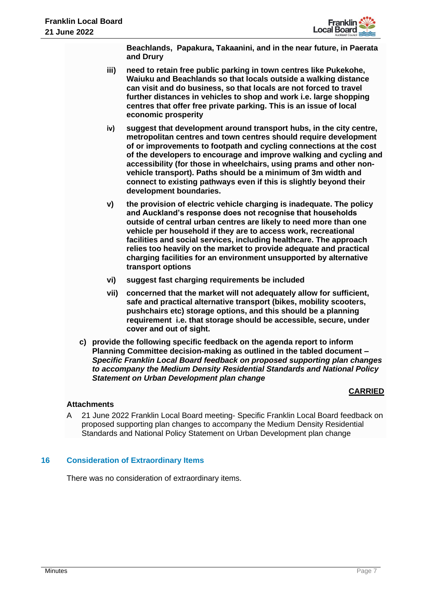

**Beachlands, Papakura, Takaanini, and in the near future, in Paerata and Drury**

- **iii) need to retain free public parking in town centres like Pukekohe, Waiuku and Beachlands so that locals outside a walking distance can visit and do business, so that locals are not forced to travel further distances in vehicles to shop and work i.e. large shopping centres that offer free private parking. This is an issue of local economic prosperity**
- **iv) suggest that development around transport hubs, in the city centre, metropolitan centres and town centres should require development of or improvements to footpath and cycling connections at the cost of the developers to encourage and improve walking and cycling and accessibility (for those in wheelchairs, using prams and other nonvehicle transport). Paths should be a minimum of 3m width and connect to existing pathways even if this is slightly beyond their development boundaries.**
- **v) the provision of electric vehicle charging is inadequate. The policy and Auckland's response does not recognise that households outside of central urban centres are likely to need more than one vehicle per household if they are to access work, recreational facilities and social services, including healthcare. The approach relies too heavily on the market to provide adequate and practical charging facilities for an environment unsupported by alternative transport options**
- **vi) suggest fast charging requirements be included**
- **vii) concerned that the market will not adequately allow for sufficient, safe and practical alternative transport (bikes, mobility scooters, pushchairs etc) storage options, and this should be a planning requirement i.e. that storage should be accessible, secure, under cover and out of sight.**
- **c) provide the following specific feedback on the agenda report to inform Planning Committee decision-making as outlined in the tabled document –** *Specific Franklin Local Board feedback on proposed supporting plan changes to accompany the Medium Density Residential Standards and National Policy Statement on Urban Development plan change*

# **CARRIED**

## **Attachments**

A 21 June 2022 Franklin Local Board meeting- Specific Franklin Local Board feedback on proposed supporting plan changes to accompany the Medium Density Residential Standards and National Policy Statement on Urban Development plan change

## **16 Consideration of Extraordinary Items**

There was no consideration of extraordinary items.